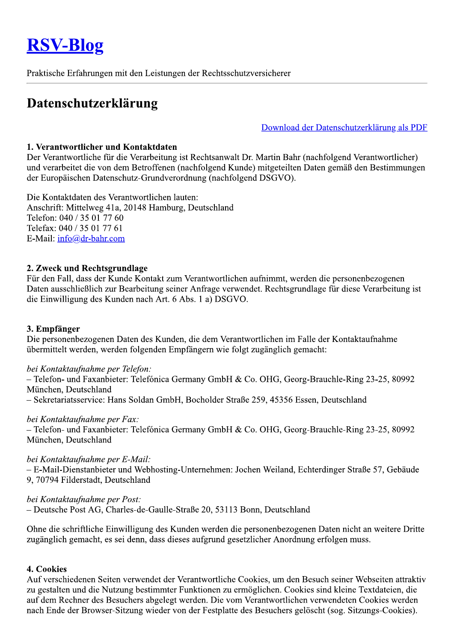# **RSV-Blog**

Praktische Erfahrungen mit den Leistungen der Rechtsschutzversicherer

# Datenschutzerklärung

Download der Datenschutzerklärung als PDF

#### 1. Verantwortlicher und Kontaktdaten

Der Verantwortliche für die Verarbeitung ist Rechtsanwalt Dr. Martin Bahr (nachfolgend Verantwortlicher) und verarbeitet die von dem Betroffenen (nachfolgend Kunde) mitgeteilten Daten gemäß den Bestimmungen der Europäischen Datenschutz-Grundverordnung (nachfolgend DSGVO).

Die Kontaktdaten des Verantwortlichen lauten: Anschrift: Mittelweg 41a, 20148 Hamburg, Deutschland Telefon: 040 / 35 01 77 60 Telefax: 040 / 35 01 77 61 E-Mail: info@dr-bahr.com

#### 2. Zweck und Rechtsgrundlage

Für den Fall, dass der Kunde Kontakt zum Verantwortlichen aufnimmt, werden die personenbezogenen Daten ausschließlich zur Bearbeitung seiner Anfrage verwendet. Rechtsgrundlage für diese Verarbeitung ist die Einwilligung des Kunden nach Art. 6 Abs. 1 a) DSGVO.

#### 3. Empfänger

Die personenbezogenen Daten des Kunden, die dem Verantwortlichen im Falle der Kontaktaufnahme übermittelt werden, werden folgenden Empfängern wie folgt zugänglich gemacht:

#### bei Kontaktaufnahme per Telefon:

- Telefon- und Faxanbieter: Telefónica Germany GmbH & Co. OHG, Georg-Brauchle-Ring 23-25, 80992 München, Deutschland

- Sekretariatsservice: Hans Soldan GmbH, Bocholder Straße 259, 45356 Essen, Deutschland

#### bei Kontaktaufnahme per Fax:

- Telefon- und Faxanbieter: Telefónica Germany GmbH & Co. OHG, Georg-Brauchle-Ring 23-25, 80992 München, Deutschland

#### bei Kontaktaufnahme per E-Mail:

- E-Mail-Dienstanbieter und Webhosting-Unternehmen: Jochen Weiland, Echterdinger Straße 57, Gebäude 9. 70794 Filderstadt, Deutschland

#### bei Kontaktaufnahme per Post:

- Deutsche Post AG, Charles-de-Gaulle-Straße 20, 53113 Bonn, Deutschland

Ohne die schriftliche Einwilligung des Kunden werden die personenbezogenen Daten nicht an weitere Dritte zugänglich gemacht, es sei denn, dass dieses aufgrund gesetzlicher Anordnung erfolgen muss.

#### 4. Cookies

Auf verschiedenen Seiten verwendet der Verantwortliche Cookies, um den Besuch seiner Webseiten attraktiv zu gestalten und die Nutzung bestimmter Funktionen zu ermöglichen. Cookies sind kleine Textdateien, die auf dem Rechner des Besuchers abgelegt werden. Die vom Verantwortlichen verwendeten Cookies werden nach Ende der Browser-Sitzung wieder von der Festplatte des Besuchers gelöscht (sog. Sitzungs-Cookies).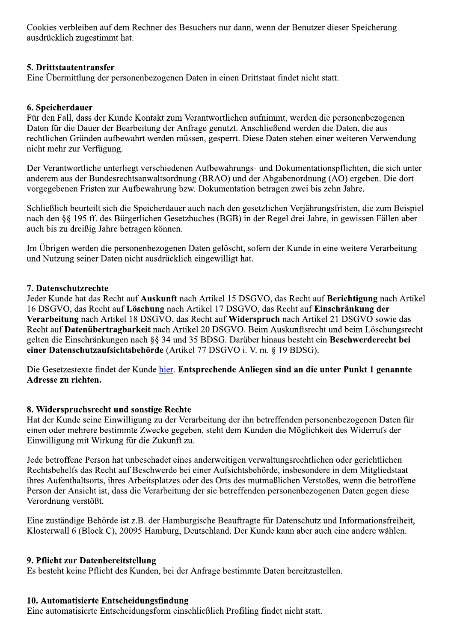Cookies verbleiben auf dem Rechner des Besuchers nur dann, wenn der Benutzer dieser Speicherung ausdrücklich zugestimmt hat.

#### 5. Drittstaatentransfer

Eine Übermittlung der personenbezogenen Daten in einen Drittstaat findet nicht statt.

#### 6. Speicherdauer

Für den Fall, dass der Kunde Kontakt zum Verantwortlichen aufnimmt, werden die personenbezogenen Daten für die Dauer der Bearbeitung der Anfrage genutzt. Anschließend werden die Daten, die aus rechtlichen Gründen aufbewahrt werden müssen, gesperrt. Diese Daten stehen einer weiteren Verwendung nicht mehr zur Verfügung.

Der Verantwortliche unterliegt verschiedenen Aufbewahrungs- und Dokumentationspflichten, die sich unter anderem aus der Bundesrechtsanwaltsordnung (BRAO) und der Abgabenordnung (AO) ergeben. Die dort vorgegebenen Fristen zur Aufbewahrung bzw. Dokumentation betragen zwei bis zehn Jahre.

Schließlich beurteilt sich die Speicherdauer auch nach den gesetzlichen Verjährungsfristen, die zum Beispiel nach den §§ 195 ff. des Bürgerlichen Gesetzbuches (BGB) in der Regel drei Jahre, in gewissen Fällen aber auch bis zu dreißig Jahre betragen können.

Im Übrigen werden die personenbezogenen Daten gelöscht, sofern der Kunde in eine weitere Verarbeitung und Nutzung seiner Daten nicht ausdrücklich eingewilligt hat.

#### 7. Datenschutzrechte

Jeder Kunde hat das Recht auf Auskunft nach Artikel 15 DSGVO, das Recht auf Berichtigung nach Artikel 16 DSGVO, das Recht auf Löschung nach Artikel 17 DSGVO, das Recht auf Einschränkung der Verarbeitung nach Artikel 18 DSGVO, das Recht auf Widerspruch nach Artikel 21 DSGVO sowie das Recht auf Datenübertragbarkeit nach Artikel 20 DSGVO. Beim Auskunftsrecht und beim Löschungsrecht gelten die Einschränkungen nach §§ 34 und 35 BDSG. Darüber hinaus besteht ein Beschwerderecht bei einer Datenschutzaufsichtsbehörde (Artikel 77 DSGVO i. V. m. § 19 BDSG).

Die Gesetzestexte findet der Kunde hier. Entsprechende Anliegen sind an die unter Punkt 1 genannte Adresse zu richten.

#### 8. Widerspruchsrecht und sonstige Rechte

Hat der Kunde seine Einwilligung zu der Verarbeitung der ihn betreffenden personenbezogenen Daten für einen oder mehrere bestimmte Zwecke gegeben, steht dem Kunden die Möglichkeit des Widerrufs der Einwilligung mit Wirkung für die Zukunft zu.

Jede betroffene Person hat unbeschadet eines anderweitigen verwaltungsrechtlichen oder gerichtlichen Rechtsbehelfs das Recht auf Beschwerde bei einer Aufsichtsbehörde, insbesondere in dem Mitgliedstaat ihres Aufenthaltsorts, ihres Arbeitsplatzes oder des Orts des mutmaßlichen Verstoßes, wenn die betroffene Person der Ansicht ist, dass die Verarbeitung der sie betreffenden personenbezogenen Daten gegen diese Verordnung verstößt.

Eine zuständige Behörde ist z.B. der Hamburgische Beauftragte für Datenschutz und Informationsfreiheit, Klosterwall 6 (Block C), 20095 Hamburg, Deutschland. Der Kunde kann aber auch eine andere wählen.

#### 9. Pflicht zur Datenbereitstellung

Es besteht keine Pflicht des Kunden, bei der Anfrage bestimmte Daten bereitzustellen.

#### 10. Automatisierte Entscheidungsfindung

Eine automatisierte Entscheidungsform einschließlich Profiling findet nicht statt.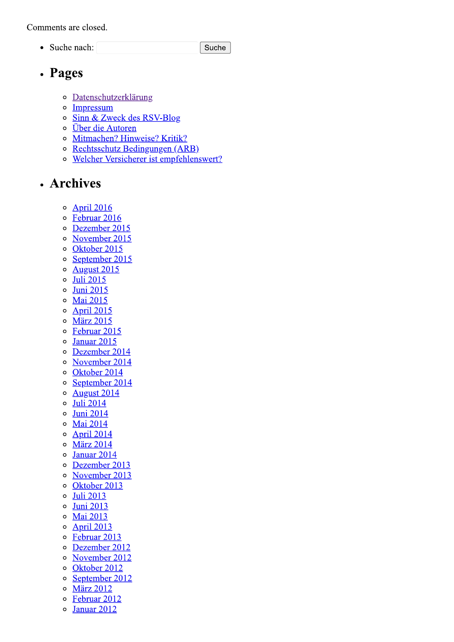Comments are closed.

• Suche nach:

Suche

### • Pages

- o Datenschutzerklärung
- Impressum  $\circ$
- o Sinn & Zweck des RSV-Blog
- o Über die Autoren
- o Mitmachen? Hinweise? Kritik?
- o Rechtsschutz Bedingungen (ARB)
- Welcher Versicherer ist empfehlenswert?  $\circ$

# · Archives

- **April 2016**  $\circ$
- Februar 2016  $\circ$
- $\circ$ Dezember 2015
- November 2015  $\circ$
- Oktober 2015  $\circ$
- September 2015  $\circ$
- **August 2015**  $\circ$
- **Juli 2015**  $\circ$
- **Juni 2015**  $\circ$
- Mai 2015  $\circ$
- **April 2015**  $\circ$
- **März 2015**  $\circ$
- Februar 2015  $\circ$
- Januar 2015  $\circ$
- Dezember 2014  $\circ$
- November 2014  $\circ$
- Oktober 2014  $\circ$
- $\circ$ September 2014
- **August 2014**  $\circ$
- **Juli 2014**  $\circ$
- **Juni 2014**  $\circ$
- **Mai 2014**  $\circ$
- **April 2014**  $\circ$
- **März 2014**  $\circ$
- Januar 2014  $\circ$
- Dezember 2013  $\circ$
- November 2013  $\circ$
- Oktober 2013  $\circ$
- **Juli 2013**  $\circ$
- **Juni 2013**  $\circ$
- Mai 2013  $\circ$
- **April 2013**  $\circ$
- $\circ$ Februar 2013
- Dezember 2012  $\circ$
- November 2012  $\circ$
- Oktober 2012  $\circ$
- September 2012  $\circ$
- $\circ$ **März 2012**
- Februar 2012  $\circ$
- Januar 2012  $\circ$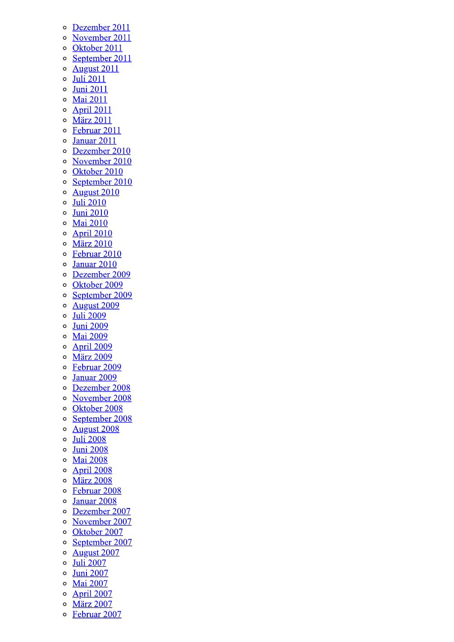- Dezember 2011  $\circ$
- November 2011  $\circ$
- Oktober 2011  $\circ$
- September 2011  $\circ$
- **August 2011**  $\circ$
- **Juli 2011**  $\circ$
- **Juni 2011**  $\circ$
- **Mai 2011**  $\circ$
- **April 2011**  $\circ$
- $\circ$ **März 2011**
- $\circ$ Februar 2011
- Januar 2011  $\circ$
- Dezember 2010  $\circ$
- November 2010  $\circ$
- $\circ$ Oktober 2010
- September 2010  $\circ$
- **August 2010**  $\circ$
- **Juli 2010**  $\circ$
- **Juni 2010**  $\circ$
- $\circ$ **Mai 2010**
- **April 2010**  $\circ$
- **März 2010**  $\circ$
- Februar 2010  $\circ$
- Januar 2010  $\circ$
- Dezember 2009  $\circ$
- Oktober 2009  $\circ$
- $\circ$ September 2009
- **August 2009**  $\circ$
- **Juli 2009**  $\circ$
- **Juni 2009**  $\circ$
- **Mai 2009**  $\circ$
- April 2009  $\circ$
- $\circ$ **März 2009**
- Februar 2009  $\circ$
- Januar 2009  $\circ$
- Dezember 2008  $\circ$
- November 2008  $\circ$
- $\circ$ Oktober 2008
- September 2008  $\circ$
- **August 2008**  $\circ$
- **Juli 2008**  $\circ$
- **Juni 2008**  $\circ$
- $\circ$ **Mai 2008**
- April 2008  $\circ$
- **März 2008**  $\circ$
- Februar 2008  $\circ$
- Januar 2008  $\circ$
- $\circ$ Dezember 2007
- November 2007  $\circ$
- Oktober 2007  $\circ$
- September 2007  $\circ$
- **August 2007**  $\circ$
- $\circ$ **Juli 2007**
- **Juni 2007**  $\circ$
- **Mai 2007**  $\circ$
- **April 2007**  $\circ$
- **März 2007**  $\circ$
- $\circ$ Februar 2007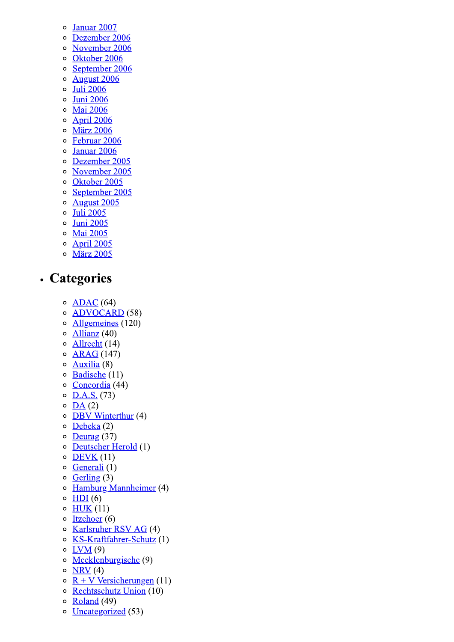- Januar 2007  $\circ$
- Dezember 2006  $\circ$
- November 2006  $\circ$
- Oktober 2006  $\circ$
- September 2006  $\circ$
- **August 2006**  $\circ$
- **Juli 2006**  $\circ$  $\circ$
- **Juni 2006 Mai 2006**  $\circ$
- **April 2006**  $\circ$
- **März 2006**  $\circ$
- Februar 2006  $\circ$
- Januar 2006  $\circ$
- Dezember 2005  $\circ$
- November 2005  $\circ$
- Oktober 2005  $\circ$
- September 2005  $\circ$
- **August 2005**  $\circ$
- **Juli 2005**  $\circ$
- **Juni 2005**  $\circ$
- **Mai 2005**  $\circ$
- **April 2005**  $\circ$
- **März 2005**  $\circ$

# • Categories

- $\circ$  <u>ADAC</u> (64)
- **ADVOCARD** (58)  $\circ$
- Allgemeines (120)  $\circ$
- Allianz  $(40)$  $\circ$
- Allrecht (14)  $\circ$
- **ARAG** (147)  $\circ$
- Auxilia $(8)$  $\circ$
- Badische (11)  $\circ$
- Concordia (44)  $\circ$
- $D.A.S. (73)$  $\circ$
- $DA(2)$  $\circ$
- **DBV** Winterthur (4)  $\circ$
- $Debeka(2)$  $\circ$
- $\circ$ Deurag  $(37)$
- Deutscher Herold (1)  $\circ$
- $DEVK(11)$  $\circ$
- Generali (1)  $\circ$
- Gerling  $(3)$  $\circ$
- Hamburg Mannheimer (4)  $\circ$
- $HDI(6)$  $\circ$
- $HUK(11)$  $\circ$
- Itzehoer $(6)$  $\circ$
- Karlsruher RSV AG (4)  $\circ$
- KS-Kraftfahrer-Schutz (1)  $\circ$
- $\circ$  $LVM(9)$
- Mecklenburgische (9)  $\circ$
- $NRV(4)$  $\circ$
- $R + V$  Versicherungen (11)  $\circ$
- Rechtsschutz Union (10)  $\circ$
- **Roland** (49)  $\circ$
- $\circ$ **Uncategorized** (53)